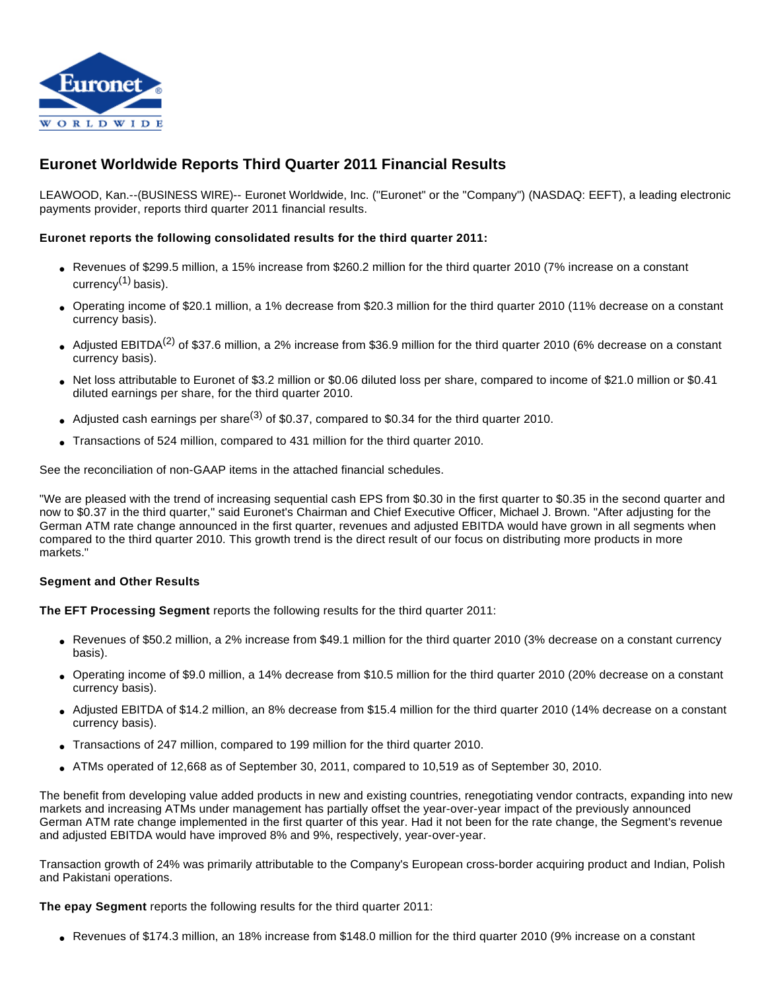

# **Euronet Worldwide Reports Third Quarter 2011 Financial Results**

LEAWOOD, Kan.--(BUSINESS WIRE)-- Euronet Worldwide, Inc. ("Euronet" or the "Company") (NASDAQ: EEFT), a leading electronic payments provider, reports third quarter 2011 financial results.

### **Euronet reports the following consolidated results for the third quarter 2011:**

- Revenues of \$299.5 million, a 15% increase from \$260.2 million for the third quarter 2010 (7% increase on a constant currency $(1)$  basis).
- Operating income of \$20.1 million, a 1% decrease from \$20.3 million for the third quarter 2010 (11% decrease on a constant currency basis).
- Adjusted EBITDA<sup>(2)</sup> of \$37.6 million, a 2% increase from \$36.9 million for the third quarter 2010 (6% decrease on a constant currency basis).
- Net loss attributable to Euronet of \$3.2 million or \$0.06 diluted loss per share, compared to income of \$21.0 million or \$0.41 diluted earnings per share, for the third quarter 2010.
- Adjusted cash earnings per share<sup>(3)</sup> of \$0.37, compared to \$0.34 for the third quarter 2010.
- Transactions of 524 million, compared to 431 million for the third quarter 2010.

See the reconciliation of non-GAAP items in the attached financial schedules.

"We are pleased with the trend of increasing sequential cash EPS from \$0.30 in the first quarter to \$0.35 in the second quarter and now to \$0.37 in the third quarter," said Euronet's Chairman and Chief Executive Officer, Michael J. Brown. "After adjusting for the German ATM rate change announced in the first quarter, revenues and adjusted EBITDA would have grown in all segments when compared to the third quarter 2010. This growth trend is the direct result of our focus on distributing more products in more markets."

#### **Segment and Other Results**

**The EFT Processing Segment** reports the following results for the third quarter 2011:

- Revenues of \$50.2 million, a 2% increase from \$49.1 million for the third quarter 2010 (3% decrease on a constant currency basis).
- Operating income of \$9.0 million, a 14% decrease from \$10.5 million for the third quarter 2010 (20% decrease on a constant currency basis).
- Adjusted EBITDA of \$14.2 million, an 8% decrease from \$15.4 million for the third quarter 2010 (14% decrease on a constant currency basis).
- Transactions of 247 million, compared to 199 million for the third quarter 2010.
- ATMs operated of 12,668 as of September 30, 2011, compared to 10,519 as of September 30, 2010.

The benefit from developing value added products in new and existing countries, renegotiating vendor contracts, expanding into new markets and increasing ATMs under management has partially offset the year-over-year impact of the previously announced German ATM rate change implemented in the first quarter of this year. Had it not been for the rate change, the Segment's revenue and adjusted EBITDA would have improved 8% and 9%, respectively, year-over-year.

Transaction growth of 24% was primarily attributable to the Company's European cross-border acquiring product and Indian, Polish and Pakistani operations.

**The epay Segment** reports the following results for the third quarter 2011:

● Revenues of \$174.3 million, an 18% increase from \$148.0 million for the third quarter 2010 (9% increase on a constant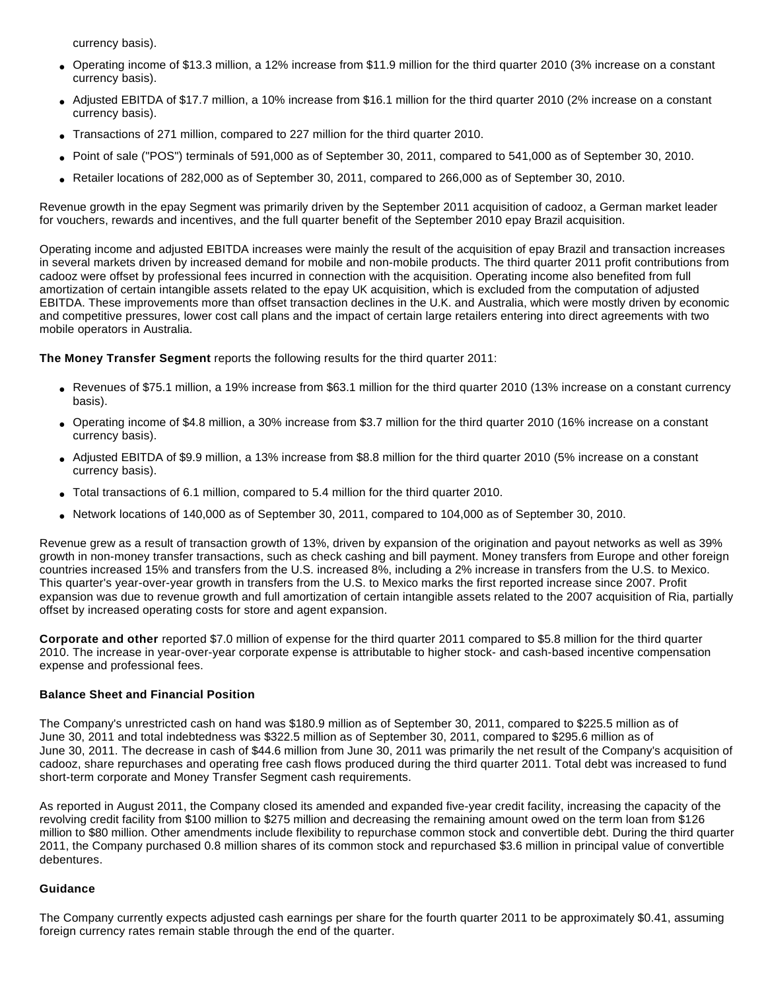currency basis).

- Operating income of \$13.3 million, a 12% increase from \$11.9 million for the third quarter 2010 (3% increase on a constant currency basis).
- Adjusted EBITDA of \$17.7 million, a 10% increase from \$16.1 million for the third quarter 2010 (2% increase on a constant currency basis).
- Transactions of 271 million, compared to 227 million for the third quarter 2010.
- Point of sale ("POS") terminals of 591,000 as of September 30, 2011, compared to 541,000 as of September 30, 2010.
- Retailer locations of 282,000 as of September 30, 2011, compared to 266,000 as of September 30, 2010.

Revenue growth in the epay Segment was primarily driven by the September 2011 acquisition of cadooz, a German market leader for vouchers, rewards and incentives, and the full quarter benefit of the September 2010 epay Brazil acquisition.

Operating income and adjusted EBITDA increases were mainly the result of the acquisition of epay Brazil and transaction increases in several markets driven by increased demand for mobile and non-mobile products. The third quarter 2011 profit contributions from cadooz were offset by professional fees incurred in connection with the acquisition. Operating income also benefited from full amortization of certain intangible assets related to the epay UK acquisition, which is excluded from the computation of adjusted EBITDA. These improvements more than offset transaction declines in the U.K. and Australia, which were mostly driven by economic and competitive pressures, lower cost call plans and the impact of certain large retailers entering into direct agreements with two mobile operators in Australia.

**The Money Transfer Segment** reports the following results for the third quarter 2011:

- Revenues of \$75.1 million, a 19% increase from \$63.1 million for the third quarter 2010 (13% increase on a constant currency basis).
- Operating income of \$4.8 million, a 30% increase from \$3.7 million for the third quarter 2010 (16% increase on a constant currency basis).
- Adjusted EBITDA of \$9.9 million, a 13% increase from \$8.8 million for the third quarter 2010 (5% increase on a constant currency basis).
- Total transactions of 6.1 million, compared to 5.4 million for the third quarter 2010.
- Network locations of 140,000 as of September 30, 2011, compared to 104,000 as of September 30, 2010.

Revenue grew as a result of transaction growth of 13%, driven by expansion of the origination and payout networks as well as 39% growth in non-money transfer transactions, such as check cashing and bill payment. Money transfers from Europe and other foreign countries increased 15% and transfers from the U.S. increased 8%, including a 2% increase in transfers from the U.S. to Mexico. This quarter's year-over-year growth in transfers from the U.S. to Mexico marks the first reported increase since 2007. Profit expansion was due to revenue growth and full amortization of certain intangible assets related to the 2007 acquisition of Ria, partially offset by increased operating costs for store and agent expansion.

**Corporate and other** reported \$7.0 million of expense for the third quarter 2011 compared to \$5.8 million for the third quarter 2010. The increase in year-over-year corporate expense is attributable to higher stock- and cash-based incentive compensation expense and professional fees.

### **Balance Sheet and Financial Position**

The Company's unrestricted cash on hand was \$180.9 million as of September 30, 2011, compared to \$225.5 million as of June 30, 2011 and total indebtedness was \$322.5 million as of September 30, 2011, compared to \$295.6 million as of June 30, 2011. The decrease in cash of \$44.6 million from June 30, 2011 was primarily the net result of the Company's acquisition of cadooz, share repurchases and operating free cash flows produced during the third quarter 2011. Total debt was increased to fund short-term corporate and Money Transfer Segment cash requirements.

As reported in August 2011, the Company closed its amended and expanded five-year credit facility, increasing the capacity of the revolving credit facility from \$100 million to \$275 million and decreasing the remaining amount owed on the term loan from \$126 million to \$80 million. Other amendments include flexibility to repurchase common stock and convertible debt. During the third quarter 2011, the Company purchased 0.8 million shares of its common stock and repurchased \$3.6 million in principal value of convertible debentures.

#### **Guidance**

The Company currently expects adjusted cash earnings per share for the fourth quarter 2011 to be approximately \$0.41, assuming foreign currency rates remain stable through the end of the quarter.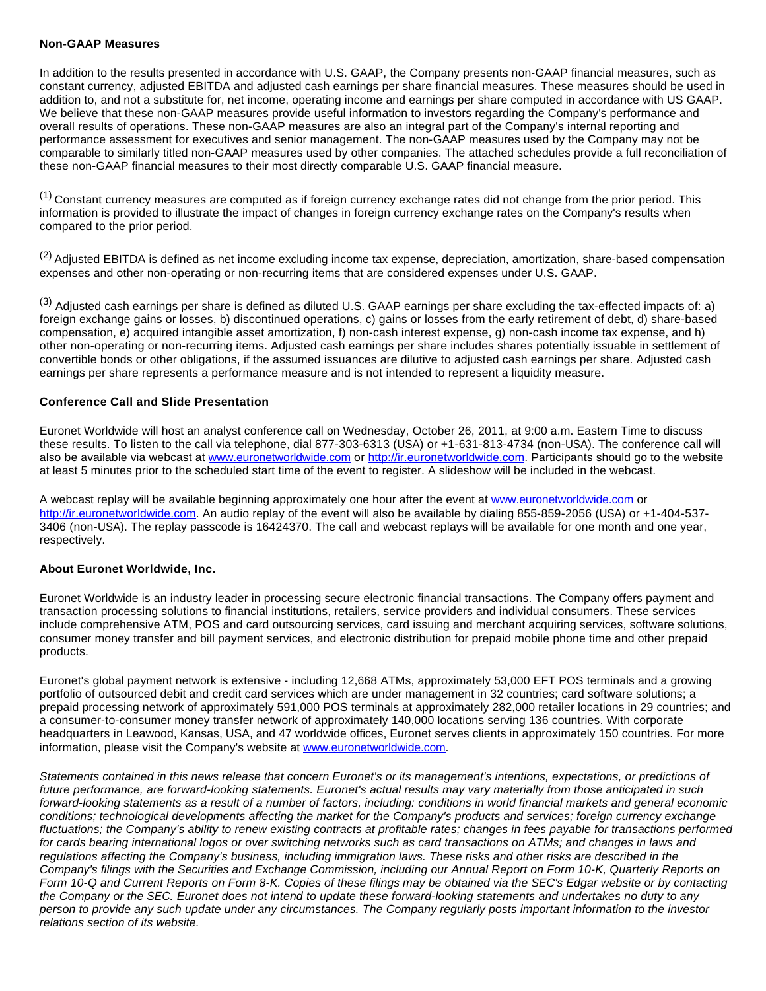#### **Non-GAAP Measures**

In addition to the results presented in accordance with U.S. GAAP, the Company presents non-GAAP financial measures, such as constant currency, adjusted EBITDA and adjusted cash earnings per share financial measures. These measures should be used in addition to, and not a substitute for, net income, operating income and earnings per share computed in accordance with US GAAP. We believe that these non-GAAP measures provide useful information to investors regarding the Company's performance and overall results of operations. These non-GAAP measures are also an integral part of the Company's internal reporting and performance assessment for executives and senior management. The non-GAAP measures used by the Company may not be comparable to similarly titled non-GAAP measures used by other companies. The attached schedules provide a full reconciliation of these non-GAAP financial measures to their most directly comparable U.S. GAAP financial measure.

(1) Constant currency measures are computed as if foreign currency exchange rates did not change from the prior period. This information is provided to illustrate the impact of changes in foreign currency exchange rates on the Company's results when compared to the prior period.

 $<sup>(2)</sup>$  Adjusted EBITDA is defined as net income excluding income tax expense, depreciation, amortization, share-based compensation</sup> expenses and other non-operating or non-recurring items that are considered expenses under U.S. GAAP.

(3) Adjusted cash earnings per share is defined as diluted U.S. GAAP earnings per share excluding the tax-effected impacts of: a) foreign exchange gains or losses, b) discontinued operations, c) gains or losses from the early retirement of debt, d) share-based compensation, e) acquired intangible asset amortization, f) non-cash interest expense, g) non-cash income tax expense, and h) other non-operating or non-recurring items. Adjusted cash earnings per share includes shares potentially issuable in settlement of convertible bonds or other obligations, if the assumed issuances are dilutive to adjusted cash earnings per share. Adjusted cash earnings per share represents a performance measure and is not intended to represent a liquidity measure.

#### **Conference Call and Slide Presentation**

Euronet Worldwide will host an analyst conference call on Wednesday, October 26, 2011, at 9:00 a.m. Eastern Time to discuss these results. To listen to the call via telephone, dial 877-303-6313 (USA) or +1-631-813-4734 (non-USA). The conference call will also be available via webcast at [www.euronetworldwide.com](http://cts.businesswire.com/ct/CT?id=smartlink&url=http%3A%2F%2Fwww.euronetworldwide.com&esheet=50043778&lan=en-US&anchor=www.euronetworldwide.com&index=1&md5=c1942f62e25621d2f2054cac7dbc5565) or [http://ir.euronetworldwide.com](http://cts.businesswire.com/ct/CT?id=smartlink&url=http%3A%2F%2Fir.euronetworldwide.com&esheet=50043778&lan=en-US&anchor=http%3A%2F%2Fir.euronetworldwide.com&index=2&md5=8bd7154b9372012794e3a905bcf273c5). Participants should go to the website at least 5 minutes prior to the scheduled start time of the event to register. A slideshow will be included in the webcast.

A webcast replay will be available beginning approximately one hour after the event at [www.euronetworldwide.com](http://cts.businesswire.com/ct/CT?id=smartlink&url=http%3A%2F%2Fwww.euronetworldwide.com&esheet=50043778&lan=en-US&anchor=www.euronetworldwide.com&index=3&md5=b9088b54c878025ae4724a8f695a4d1b) or [http://ir.euronetworldwide.com.](http://cts.businesswire.com/ct/CT?id=smartlink&url=http%3A%2F%2Fir.euronetworldwide.com&esheet=50043778&lan=en-US&anchor=http%3A%2F%2Fir.euronetworldwide.com&index=4&md5=05a4d05a522023a35b8a071b30fa70aa) An audio replay of the event will also be available by dialing 855-859-2056 (USA) or +1-404-537- 3406 (non-USA). The replay passcode is 16424370. The call and webcast replays will be available for one month and one year, respectively.

#### **About Euronet Worldwide, Inc.**

Euronet Worldwide is an industry leader in processing secure electronic financial transactions. The Company offers payment and transaction processing solutions to financial institutions, retailers, service providers and individual consumers. These services include comprehensive ATM, POS and card outsourcing services, card issuing and merchant acquiring services, software solutions, consumer money transfer and bill payment services, and electronic distribution for prepaid mobile phone time and other prepaid products.

Euronet's global payment network is extensive - including 12,668 ATMs, approximately 53,000 EFT POS terminals and a growing portfolio of outsourced debit and credit card services which are under management in 32 countries; card software solutions; a prepaid processing network of approximately 591,000 POS terminals at approximately 282,000 retailer locations in 29 countries; and a consumer-to-consumer money transfer network of approximately 140,000 locations serving 136 countries. With corporate headquarters in Leawood, Kansas, USA, and 47 worldwide offices, Euronet serves clients in approximately 150 countries. For more information, please visit the Company's website at [www.euronetworldwide.com](http://cts.businesswire.com/ct/CT?id=smartlink&url=http%3A%2F%2Fwww.euronetworldwide.com&esheet=50043778&lan=en-US&anchor=www.euronetworldwide.com&index=5&md5=88a1575e9b6894687e6a0a146857cd74).

Statements contained in this news release that concern Euronet's or its management's intentions, expectations, or predictions of future performance, are forward-looking statements. Euronet's actual results may vary materially from those anticipated in such forward-looking statements as a result of a number of factors, including: conditions in world financial markets and general economic conditions; technological developments affecting the market for the Company's products and services; foreign currency exchange fluctuations; the Company's ability to renew existing contracts at profitable rates; changes in fees payable for transactions performed for cards bearing international logos or over switching networks such as card transactions on ATMs; and changes in laws and regulations affecting the Company's business, including immigration laws. These risks and other risks are described in the Company's filings with the Securities and Exchange Commission, including our Annual Report on Form 10-K, Quarterly Reports on Form 10-Q and Current Reports on Form 8-K. Copies of these filings may be obtained via the SEC's Edgar website or by contacting the Company or the SEC. Euronet does not intend to update these forward-looking statements and undertakes no duty to any person to provide any such update under any circumstances. The Company regularly posts important information to the investor relations section of its website.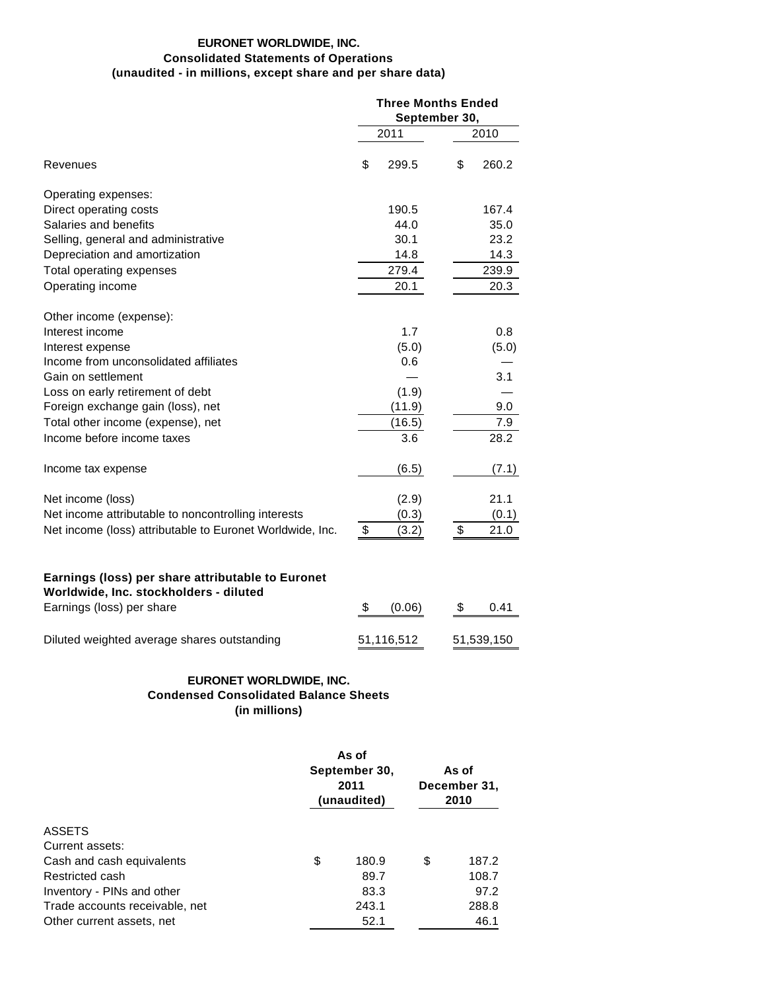# **EURONET WORLDWIDE, INC. Consolidated Statements of Operations (unaudited - in millions, except share and per share data)**

|                                                                                             | <b>Three Months Ended</b><br>September 30, |            |    |            |  |
|---------------------------------------------------------------------------------------------|--------------------------------------------|------------|----|------------|--|
|                                                                                             |                                            | 2011       |    | 2010       |  |
| Revenues                                                                                    | \$                                         | 299.5      | \$ | 260.2      |  |
| Operating expenses:                                                                         |                                            |            |    |            |  |
| Direct operating costs                                                                      |                                            | 190.5      |    | 167.4      |  |
| Salaries and benefits                                                                       |                                            | 44.0       |    | 35.0       |  |
| Selling, general and administrative                                                         |                                            | 30.1       |    | 23.2       |  |
| Depreciation and amortization                                                               |                                            | 14.8       |    | 14.3       |  |
| Total operating expenses                                                                    |                                            | 279.4      |    | 239.9      |  |
| Operating income                                                                            |                                            | 20.1       |    | 20.3       |  |
| Other income (expense):                                                                     |                                            |            |    |            |  |
| Interest income                                                                             |                                            | 1.7        |    | 0.8        |  |
| Interest expense                                                                            |                                            | (5.0)      |    | (5.0)      |  |
| Income from unconsolidated affiliates                                                       |                                            | 0.6        |    |            |  |
| Gain on settlement                                                                          |                                            |            |    | 3.1        |  |
| Loss on early retirement of debt                                                            |                                            | (1.9)      |    |            |  |
| Foreign exchange gain (loss), net                                                           |                                            | (11.9)     |    | 9.0        |  |
| Total other income (expense), net                                                           |                                            | (16.5)     |    | 7.9        |  |
| Income before income taxes                                                                  |                                            | 3.6        |    | 28.2       |  |
| Income tax expense                                                                          |                                            | (6.5)      |    | (7.1)      |  |
| Net income (loss)                                                                           |                                            | (2.9)      |    | 21.1       |  |
| Net income attributable to noncontrolling interests                                         |                                            | (0.3)      |    | (0.1)      |  |
| Net income (loss) attributable to Euronet Worldwide, Inc.                                   | \$                                         | (3.2)      | \$ | 21.0       |  |
| Earnings (loss) per share attributable to Euronet<br>Worldwide, Inc. stockholders - diluted |                                            |            |    |            |  |
| Earnings (loss) per share                                                                   | \$                                         | (0.06)     | \$ | 0.41       |  |
| Diluted weighted average shares outstanding                                                 |                                            | 51,116,512 |    | 51,539,150 |  |
| EURONET WORLDWIDE, INC.                                                                     |                                            |            |    |            |  |
|                                                                                             |                                            |            |    |            |  |

**Condensed Consolidated Balance Sheets (in millions)**

|                                | As of<br>September 30,<br>2011<br>(unaudited) | As of<br>December 31,<br>2010 |    |       |
|--------------------------------|-----------------------------------------------|-------------------------------|----|-------|
| <b>ASSETS</b>                  |                                               |                               |    |       |
| Current assets:                |                                               |                               |    |       |
| Cash and cash equivalents      | \$                                            | 180.9                         | \$ | 187.2 |
| Restricted cash                |                                               | 89.7                          |    | 108.7 |
| Inventory - PINs and other     |                                               | 83.3                          |    | 97.2  |
| Trade accounts receivable, net |                                               | 243.1                         |    | 288.8 |
| Other current assets, net      |                                               | 52.1                          |    | 46.1  |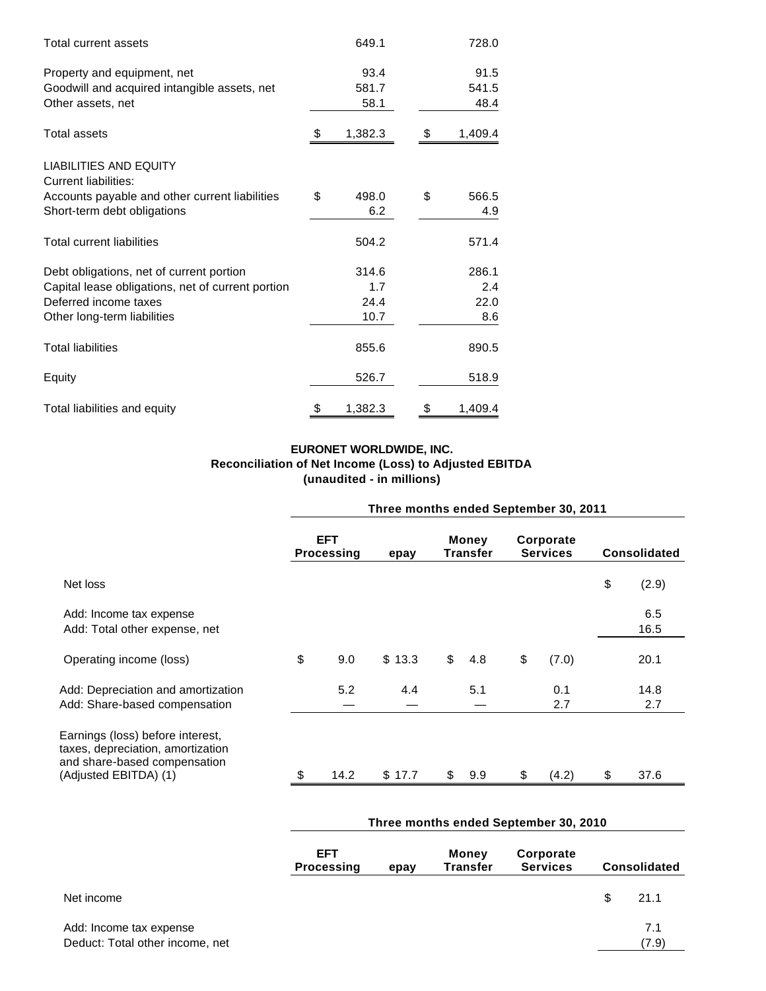| Total current assets                                         | 649.1         | 728.0         |
|--------------------------------------------------------------|---------------|---------------|
| Property and equipment, net                                  | 93.4          | 91.5          |
| Goodwill and acquired intangible assets, net                 | 581.7         | 541.5         |
| Other assets, net                                            | 58.1          | 48.4          |
| <b>Total assets</b>                                          | \$<br>1,382.3 | \$<br>1,409.4 |
| <b>LIABILITIES AND EQUITY</b><br><b>Current liabilities:</b> |               |               |
| Accounts payable and other current liabilities               | \$<br>498.0   | \$<br>566.5   |
| Short-term debt obligations                                  | 6.2           | 4.9           |
| <b>Total current liabilities</b>                             | 504.2         | 571.4         |
| Debt obligations, net of current portion                     | 314.6         | 286.1         |
| Capital lease obligations, net of current portion            | 1.7           | 2.4           |
| Deferred income taxes                                        | 24.4          | 22.0          |
| Other long-term liabilities                                  | 10.7          | 8.6           |
| <b>Total liabilities</b>                                     | 855.6         | 890.5         |
| Equity                                                       | 526.7         | 518.9         |
| Total liabilities and equity                                 | \$<br>1,382.3 | \$<br>1,409.4 |

# **EURONET WORLDWIDE, INC. Reconciliation of Net Income (Loss) to Adjusted EBITDA (unaudited - in millions)**

|                                                                                                                                | Three months ended September 30, 2011 |                          |                                       |                                 |       |                              |            |                     |             |
|--------------------------------------------------------------------------------------------------------------------------------|---------------------------------------|--------------------------|---------------------------------------|---------------------------------|-------|------------------------------|------------|---------------------|-------------|
|                                                                                                                                |                                       | <b>EFT</b><br>Processing | epay                                  | <b>Money</b><br><b>Transfer</b> |       | Corporate<br><b>Services</b> |            | <b>Consolidated</b> |             |
| Net loss                                                                                                                       |                                       |                          |                                       |                                 |       |                              |            | \$                  | (2.9)       |
| Add: Income tax expense<br>Add: Total other expense, net                                                                       |                                       |                          |                                       |                                 |       |                              |            |                     | 6.5<br>16.5 |
| Operating income (loss)                                                                                                        | \$                                    | 9.0                      | \$13.3                                | \$                              | 4.8   | \$                           | (7.0)      |                     | 20.1        |
| Add: Depreciation and amortization<br>Add: Share-based compensation                                                            |                                       | 5.2                      | 4.4                                   |                                 | 5.1   |                              | 0.1<br>2.7 |                     | 14.8<br>2.7 |
| Earnings (loss) before interest,<br>taxes, depreciation, amortization<br>and share-based compensation<br>(Adjusted EBITDA) (1) |                                       | 14.2                     | \$17.7                                |                                 | \$9.9 | \$                           | (4.2)      | \$                  | 37.6        |
|                                                                                                                                |                                       |                          | Three months ended September 30, 2010 |                                 |       |                              |            |                     |             |

|                                                            | <b>EFT</b><br><b>Processing</b> | epay | Money<br>Corporate<br><b>Transfer</b><br><b>Services</b><br><b>Consolidated</b> |  |     |              |
|------------------------------------------------------------|---------------------------------|------|---------------------------------------------------------------------------------|--|-----|--------------|
| Net income                                                 |                                 |      |                                                                                 |  | \$. | 21.1         |
| Add: Income tax expense<br>Deduct: Total other income, net |                                 |      |                                                                                 |  |     | 7.1<br>(7.9) |